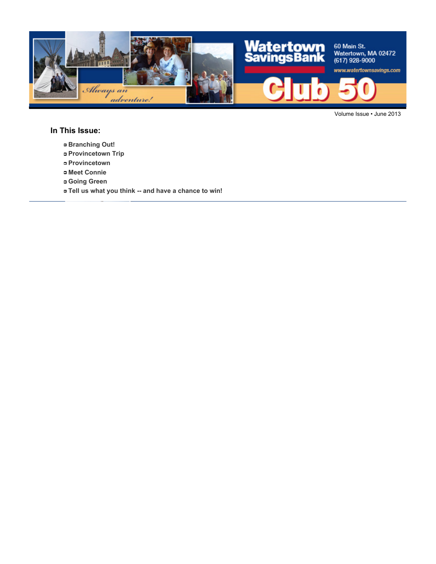

Volume Issue • June 2013

#### **In This Issue:**

- **Branching Out!**
- **Provincetown Trip**
- **Provincetown**
- **Meet Connie**
- **Going Green**
- **Tell us what you think -- and have a chance to win!**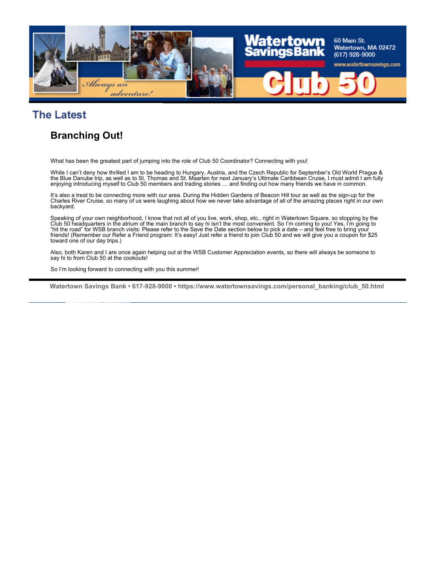

## **The Latest**

### **Branching Out!**

What has been the greatest part of jumping into the role of Club 50 Coordinator? Connecting with you!

While I can't deny how thrilled I am to be heading to Hungary, Austria, and the Czech Republic for September's Old World Prague & the Blue Danube trip, as well as to St. Thomas and St. Maarten for next January's Ultimate Caribbean Cruise, I must admit I am fully enjoying introducing myself to Club 50 members and trading stories … and finding out how many friends we have in common.

It's also a treat to be connecting more with our area. During the Hidden Gardens of Beacon Hill tour as well as the sign-up for the Charles River Cruise, so many of us were laughing about how we never take advantage of all of the amazing places right in our own backyard.

Speaking of your own neighborhood, I know that not all of you live, work, shop, etc., right in Watertown Square, so stopping by the Club 50 headquarters in the atrium of the main branch to say hi isn't the most convenient. So I'm coming to you! Yes, I'm going to "hit the road" for WSB branch visits: Please refer to the Save the Date section below to pick a date – and feel free to bring your friends! (Remember our Refer a Friend program: It's easy! Just refer a friend to join Club 50 and we will give you a coupon for \$25 toward one of our day trips.)

Also, both Karen and I are once again helping out at the WSB Customer Appreciation events, so there will always be someone to say hi to from Club 50 at the cookouts!

So I'm looking forward to connecting with you this summer!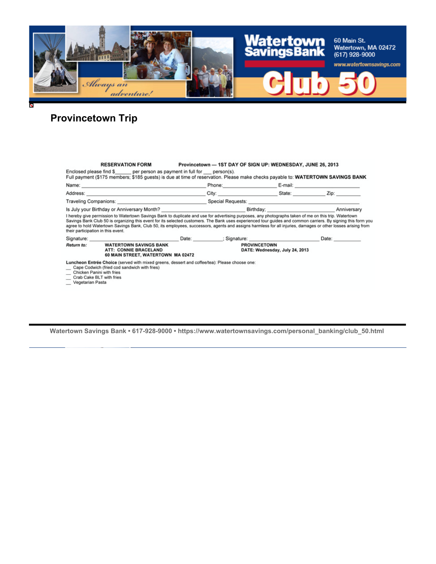

# **Provincetown Trip**

|                   | <b>RESERVATION FORM</b>                                                                                                                                                                                                                                                                                                                                                                                                              |                                                                                                                      |                     | Provincetown - 1ST DAY OF SIGN UP: WEDNESDAY, JUNE 26, 2013                                                                                                                                                                    |       |
|-------------------|--------------------------------------------------------------------------------------------------------------------------------------------------------------------------------------------------------------------------------------------------------------------------------------------------------------------------------------------------------------------------------------------------------------------------------------|----------------------------------------------------------------------------------------------------------------------|---------------------|--------------------------------------------------------------------------------------------------------------------------------------------------------------------------------------------------------------------------------|-------|
|                   | Enclosed please find \$ per person as payment in full for person(s).<br>Full payment (\$175 members; \$185 guests) is due at time of reservation. Please make checks payable to: WATERTOWN SAVINGS BANK                                                                                                                                                                                                                              |                                                                                                                      |                     |                                                                                                                                                                                                                                |       |
|                   |                                                                                                                                                                                                                                                                                                                                                                                                                                      |                                                                                                                      |                     | Phone: E-mail: E-mail: E-mail: E-mail: E-mail: E-mail: E-mail: E-mail: E-mail: E-mail: E-mail: E-mail: E-mail: E-mail: E-mail: E-mail: E-mail: E-mail: E-mail: E-mail: E-mail: E-mail: E-mail: E-mail: E-mail: E-mail: E-mail: |       |
|                   |                                                                                                                                                                                                                                                                                                                                                                                                                                      |                                                                                                                      |                     | City: City: City: City: City: City: City: City: City: City: City: City: City: City: City: City: City: City: City: City: City: City: City: City: City: City: City: City: City: City: City: City: City: City: City: City: City:  |       |
|                   |                                                                                                                                                                                                                                                                                                                                                                                                                                      | Traveling Companions: <b>All any of the Companions</b> Companion Companion Companion Companions Companions Companion |                     |                                                                                                                                                                                                                                |       |
|                   |                                                                                                                                                                                                                                                                                                                                                                                                                                      |                                                                                                                      |                     |                                                                                                                                                                                                                                |       |
|                   | agree to hold Watertown Savings Bank, Club 50, its employees, successors, agents and assigns harmless for all injuries, damages or other losses arising from<br>their participation in this event.<br>Signature: Contract Contract Contract Contract Contract Contract Contract Contract Contract Contract Contract Contract Contract Contract Contract Contract Contract Contract Contract Contract Contract Contract Contract Cont |                                                                                                                      |                     |                                                                                                                                                                                                                                | Date: |
| <b>Return to:</b> | <b>WATERTOWN SAVINGS BANK</b><br>ATT: CONNIE BRACELAND<br>60 MAIN STREET, WATERTOWN MA 02472                                                                                                                                                                                                                                                                                                                                         |                                                                                                                      | <b>PROVINCETOWN</b> | DATE: Wednesday, July 24, 2013                                                                                                                                                                                                 |       |
| Vegetarian Pasta  | Luncheon Entrée Choice (served with mixed greens, dessert and coffee/tea): Please choose one:<br>Cape Codwich (fried cod sandwich with fries)<br>Chicken Panini with fries<br>Crab Cake BLT with fries                                                                                                                                                                                                                               |                                                                                                                      |                     |                                                                                                                                                                                                                                |       |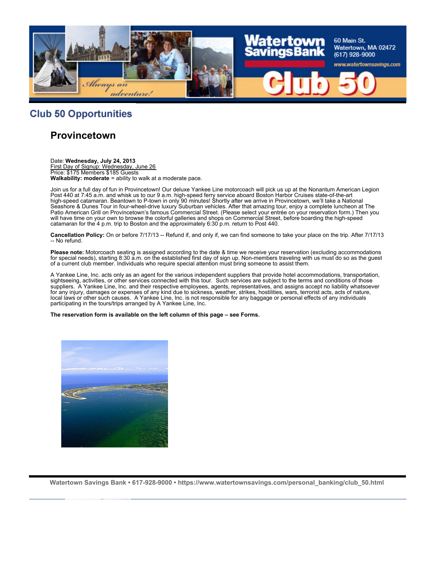

#### **Club 50 Opportunities**

#### **Provincetown**

Date: **Wednesday, July 24, 2013** First Day of Signup: Wednesday, June 26 Price: \$175 Members \$185 Guests **Walkability: moderate** = ability to walk at a moderate pace.

Join us for a full day of fun in Provincetown! Our deluxe Yankee Line motorcoach will pick us up at the Nonantum American Legion Post 440 at 7:45 a.m. and whisk us to our 9 a.m. high-speed ferry service aboard Boston Harbor Cruises state-of-the-art high-speed catamaran. Beantown to P-town in only 90 minutes! Shortly after we arrive in Provincetown, we'll take a National Seashore & Dunes Tour in four-wheel-drive luxury Suburban vehicles. After that amazing tour, enjoy a complete luncheon at The Patio American Grill on Provincetown's famous Commercial Street. (Please select your entrée on your reservation form.) Then you will have time on your own to browse the colorful galleries and shops on Commercial Street, before boarding the high-speed catamaran for the 4 p.m. trip to Boston and the approximately 6:30 p.m. return to Post 440.

**Cancellation Policy:** On or before 7/17/13 -- Refund if, and only if, we can find someone to take your place on the trip. After 7/17/13 -- No refund.

**Please note:** Motorcoach seating is assigned according to the date & time we receive your reservation (excluding accommodations for special needs), starting 8:30 a.m. on the established first day of sign up. Non-members traveling with us must do so as the guest of a current club member. Individuals who require special attention must bring someone to assist them.

A Yankee Line, Inc. acts only as an agent for the various independent suppliers that provide hotel accommodations, transportation, sightseeing, activities, or other services connected with this tour. Such services are subject to the terms and conditions of those suppliers. A Yankee Line, Inc. and their respective employees, agents, representatives, and assigns accept no liability whatsoever for any injury, damages or expenses of any kind due to sickness, weather, strikes, hostilities, wars, terrorist acts, acts of nature, local laws or other such causes. A Yankee Line, Inc. is not responsible for any baggage or personal effects of any individuals participating in the tours/trips arranged by A Yankee Line, Inc.

**The reservation form is available on the left column of this page – see Forms.**

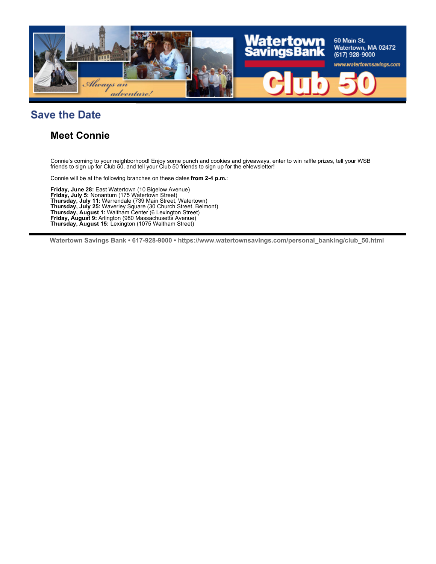

## **Save the Date**

#### **Meet Connie**

Connie's coming to your neighborhood! Enjoy some punch and cookies and giveaways, enter to win raffle prizes, tell your WSB friends to sign up for Club 50, and tell your Club 50 friends to sign up for the eNewsletter!

Connie will be at the following branches on these dates **from 2-4 p.m.**:

**Friday, June 28:** East Watertown (10 Bigelow Avenue) **Friday, July 5:** Nonantum (175 Watertown Street) **Thursday, July 11:** Warrendale (739 Main Street, Watertown) **Thursday, July 25:** Waverley Square (30 Church Street, Belmont) **Thursday, August 1:** Waltham Center (6 Lexington Street) **Friday, August 9:** Arlington (980 Massachusetts Avenue) **Thursday, August 15:** Lexington (1075 Waltham Street)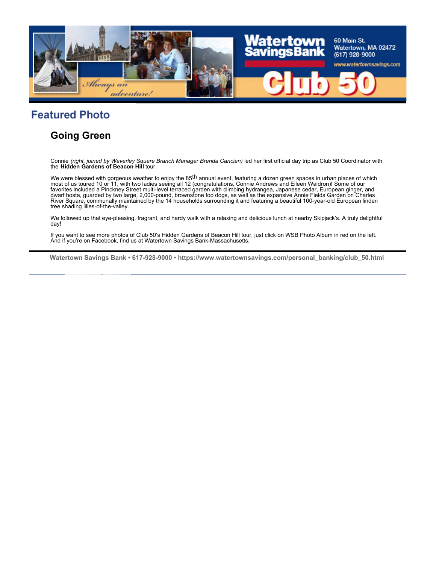

## **Featured Photo**

### **Going Green**

Connie *(right, joined by Waverley Square Branch Manager Brenda Cancian)* led her first official day trip as Club 50 Coordinator with the **Hidden Gardens of Beacon Hill** tour.

We were blessed with gorgeous weather to enjoy the  $85<sup>th</sup>$  annual event, featuring a dozen green spaces in urban places of which most of us toured 10 or 11, with two ladies seeing all 12 (congratulations, Connie Andrews and Eileen Waldron)! Some of our favorites included a Pinckney Street multi-level terraced garden with climbing hydrangea, Japanese cedar, European ginger, and dwarf hosta, guarded by two large, 2,000-pound, brownstone foo dogs, as well as the expansive Annie Fields Garden on Charles River Square, communally maintained by the 14 households surrounding it and featuring a beautiful 100-year-old European linden tree shading lilies-of-the-valley.

We followed up that eye-pleasing, fragrant, and hardy walk with a relaxing and delicious lunch at nearby Skipjack's. A truly delightful day!

If you want to see more photos of Club 50's Hidden Gardens of Beacon Hill tour, just click on WSB Photo Album in red on the left. And if you're on Facebook, find us at Watertown Savings Bank-Massachusetts.